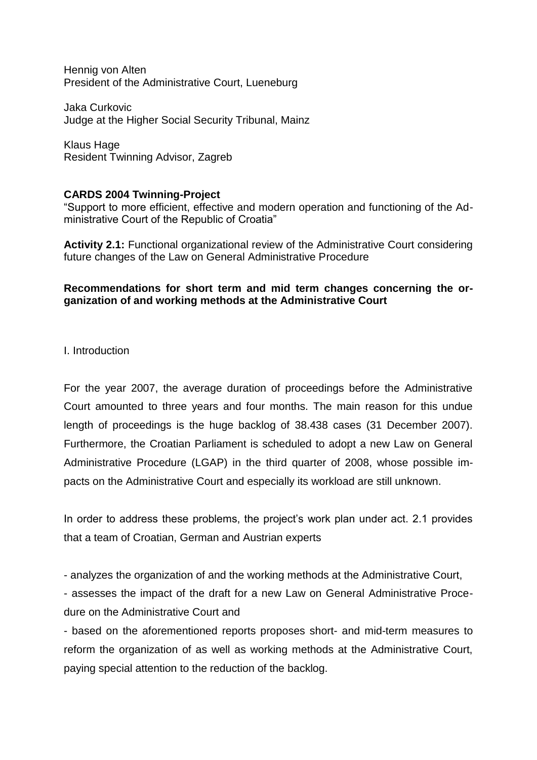Hennig von Alten President of the Administrative Court, Lueneburg

Jaka Curkovic Judge at the Higher Social Security Tribunal, Mainz

Klaus Hage Resident Twinning Advisor, Zagreb

## **CARDS 2004 Twinning-Project**

"Support to more efficient, effective and modern operation and functioning of the Administrative Court of the Republic of Croatia"

**Activity 2.1:** Functional organizational review of the Administrative Court considering future changes of the Law on General Administrative Procedure

## **Recommendations for short term and mid term changes concerning the organization of and working methods at the Administrative Court**

I. Introduction

For the year 2007, the average duration of proceedings before the Administrative Court amounted to three years and four months. The main reason for this undue length of proceedings is the huge backlog of 38.438 cases (31 December 2007). Furthermore, the Croatian Parliament is scheduled to adopt a new Law on General Administrative Procedure (LGAP) in the third quarter of 2008, whose possible impacts on the Administrative Court and especially its workload are still unknown.

In order to address these problems, the project's work plan under act. 2.1 provides that a team of Croatian, German and Austrian experts

- analyzes the organization of and the working methods at the Administrative Court,

- assesses the impact of the draft for a new Law on General Administrative Procedure on the Administrative Court and

- based on the aforementioned reports proposes short- and mid-term measures to reform the organization of as well as working methods at the Administrative Court, paying special attention to the reduction of the backlog.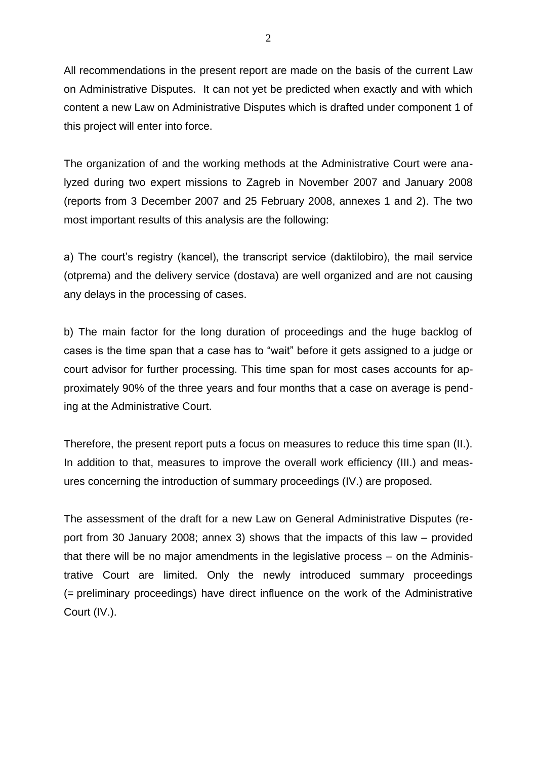All recommendations in the present report are made on the basis of the current Law on Administrative Disputes. It can not yet be predicted when exactly and with which content a new Law on Administrative Disputes which is drafted under component 1 of this project will enter into force.

The organization of and the working methods at the Administrative Court were analyzed during two expert missions to Zagreb in November 2007 and January 2008 (reports from 3 December 2007 and 25 February 2008, annexes 1 and 2). The two most important results of this analysis are the following:

a) The court's registry (kancel), the transcript service (daktilobiro), the mail service (otprema) and the delivery service (dostava) are well organized and are not causing any delays in the processing of cases.

b) The main factor for the long duration of proceedings and the huge backlog of cases is the time span that a case has to "wait" before it gets assigned to a judge or court advisor for further processing. This time span for most cases accounts for approximately 90% of the three years and four months that a case on average is pending at the Administrative Court.

Therefore, the present report puts a focus on measures to reduce this time span (II.). In addition to that, measures to improve the overall work efficiency (III.) and measures concerning the introduction of summary proceedings (IV.) are proposed.

The assessment of the draft for a new Law on General Administrative Disputes (report from 30 January 2008; annex 3) shows that the impacts of this law – provided that there will be no major amendments in the legislative process – on the Administrative Court are limited. Only the newly introduced summary proceedings (= preliminary proceedings) have direct influence on the work of the Administrative Court (IV.).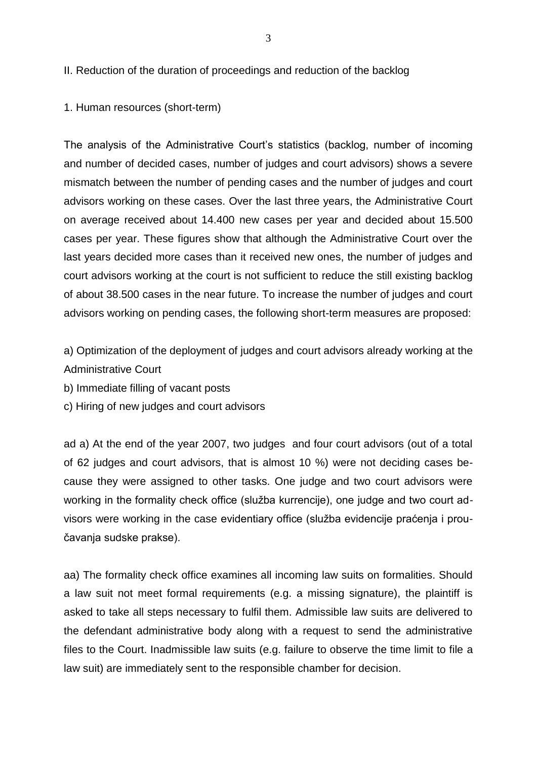II. Reduction of the duration of proceedings and reduction of the backlog

1. Human resources (short-term)

The analysis of the Administrative Court's statistics (backlog, number of incoming and number of decided cases, number of judges and court advisors) shows a severe mismatch between the number of pending cases and the number of judges and court advisors working on these cases. Over the last three years, the Administrative Court on average received about 14.400 new cases per year and decided about 15.500 cases per year. These figures show that although the Administrative Court over the last years decided more cases than it received new ones, the number of judges and court advisors working at the court is not sufficient to reduce the still existing backlog of about 38.500 cases in the near future. To increase the number of judges and court advisors working on pending cases, the following short-term measures are proposed:

a) Optimization of the deployment of judges and court advisors already working at the Administrative Court

b) Immediate filling of vacant posts

c) Hiring of new judges and court advisors

ad a) At the end of the year 2007, two judges and four court advisors (out of a total of 62 judges and court advisors, that is almost 10 %) were not deciding cases because they were assigned to other tasks. One judge and two court advisors were working in the formality check office (služba kurrencije), one judge and two court advisors were working in the case evidentiary office (služba evidencije praćenja i proučavanja sudske prakse).

aa) The formality check office examines all incoming law suits on formalities. Should a law suit not meet formal requirements (e.g. a missing signature), the plaintiff is asked to take all steps necessary to fulfil them. Admissible law suits are delivered to the defendant administrative body along with a request to send the administrative files to the Court. Inadmissible law suits (e.g. failure to observe the time limit to file a law suit) are immediately sent to the responsible chamber for decision.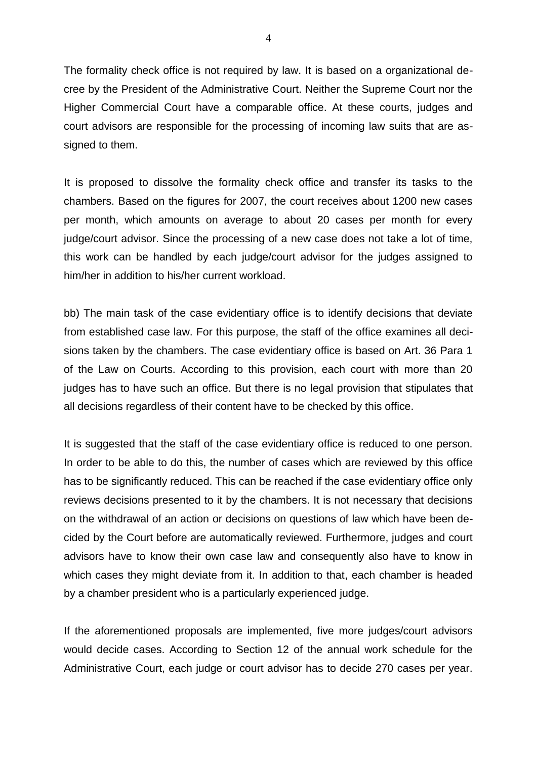The formality check office is not required by law. It is based on a organizational decree by the President of the Administrative Court. Neither the Supreme Court nor the Higher Commercial Court have a comparable office. At these courts, judges and court advisors are responsible for the processing of incoming law suits that are assigned to them.

It is proposed to dissolve the formality check office and transfer its tasks to the chambers. Based on the figures for 2007, the court receives about 1200 new cases per month, which amounts on average to about 20 cases per month for every judge/court advisor. Since the processing of a new case does not take a lot of time, this work can be handled by each judge/court advisor for the judges assigned to him/her in addition to his/her current workload.

bb) The main task of the case evidentiary office is to identify decisions that deviate from established case law. For this purpose, the staff of the office examines all decisions taken by the chambers. The case evidentiary office is based on Art. 36 Para 1 of the Law on Courts. According to this provision, each court with more than 20 judges has to have such an office. But there is no legal provision that stipulates that all decisions regardless of their content have to be checked by this office.

It is suggested that the staff of the case evidentiary office is reduced to one person. In order to be able to do this, the number of cases which are reviewed by this office has to be significantly reduced. This can be reached if the case evidentiary office only reviews decisions presented to it by the chambers. It is not necessary that decisions on the withdrawal of an action or decisions on questions of law which have been decided by the Court before are automatically reviewed. Furthermore, judges and court advisors have to know their own case law and consequently also have to know in which cases they might deviate from it. In addition to that, each chamber is headed by a chamber president who is a particularly experienced judge.

If the aforementioned proposals are implemented, five more judges/court advisors would decide cases. According to Section 12 of the annual work schedule for the Administrative Court, each judge or court advisor has to decide 270 cases per year.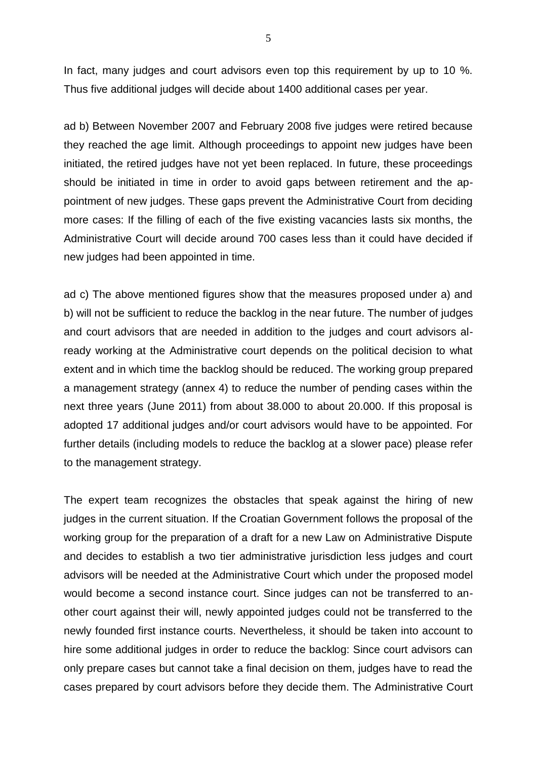In fact, many judges and court advisors even top this requirement by up to 10 %. Thus five additional judges will decide about 1400 additional cases per year.

ad b) Between November 2007 and February 2008 five judges were retired because they reached the age limit. Although proceedings to appoint new judges have been initiated, the retired judges have not yet been replaced. In future, these proceedings should be initiated in time in order to avoid gaps between retirement and the appointment of new judges. These gaps prevent the Administrative Court from deciding more cases: If the filling of each of the five existing vacancies lasts six months, the Administrative Court will decide around 700 cases less than it could have decided if new judges had been appointed in time.

ad c) The above mentioned figures show that the measures proposed under a) and b) will not be sufficient to reduce the backlog in the near future. The number of judges and court advisors that are needed in addition to the judges and court advisors already working at the Administrative court depends on the political decision to what extent and in which time the backlog should be reduced. The working group prepared a management strategy (annex 4) to reduce the number of pending cases within the next three years (June 2011) from about 38.000 to about 20.000. If this proposal is adopted 17 additional judges and/or court advisors would have to be appointed. For further details (including models to reduce the backlog at a slower pace) please refer to the management strategy.

The expert team recognizes the obstacles that speak against the hiring of new judges in the current situation. If the Croatian Government follows the proposal of the working group for the preparation of a draft for a new Law on Administrative Dispute and decides to establish a two tier administrative jurisdiction less judges and court advisors will be needed at the Administrative Court which under the proposed model would become a second instance court. Since judges can not be transferred to another court against their will, newly appointed judges could not be transferred to the newly founded first instance courts. Nevertheless, it should be taken into account to hire some additional judges in order to reduce the backlog: Since court advisors can only prepare cases but cannot take a final decision on them, judges have to read the cases prepared by court advisors before they decide them. The Administrative Court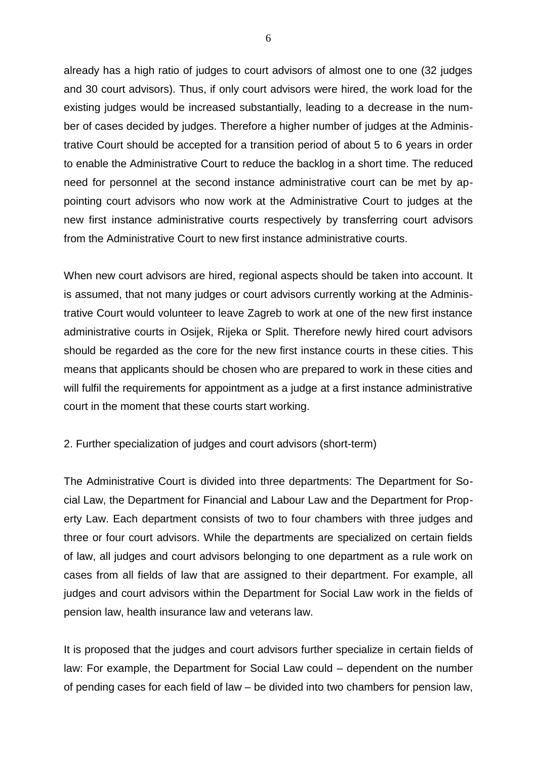already has a high ratio of judges to court advisors of almost one to one (32 judges and 30 court advisors). Thus, if only court advisors were hired, the work load for the existing judges would be increased substantially, leading to a decrease in the number of cases decided by judges. Therefore a higher number of judges at the Administrative Court should be accepted for a transition period of about 5 to 6 years in order to enable the Administrative Court to reduce the backlog in a short time. The reduced need for personnel at the second instance administrative court can be met by appointing court advisors who now work at the Administrative Court to judges at the new first instance administrative courts respectively by transferring court advisors from the Administrative Court to new first instance administrative courts.

When new court advisors are hired, regional aspects should be taken into account. It is assumed, that not many judges or court advisors currently working at the Administrative Court would volunteer to leave Zagreb to work at one of the new first instance administrative courts in Osijek, Rijeka or Split. Therefore newly hired court advisors should be regarded as the core for the new first instance courts in these cities. This means that applicants should be chosen who are prepared to work in these cities and will fulfil the requirements for appointment as a judge at a first instance administrative court in the moment that these courts start working.

2. Further specialization of judges and court advisors (short-term)

The Administrative Court is divided into three departments: The Department for Social Law, the Department for Financial and Labour Law and the Department for Property Law. Each department consists of two to four chambers with three judges and three or four court advisors. While the departments are specialized on certain fields of law, all judges and court advisors belonging to one department as a rule work on cases from all fields of law that are assigned to their department. For example, all judges and court advisors within the Department for Social Law work in the fields of pension law, health insurance law and veterans law.

It is proposed that the judges and court advisors further specialize in certain fields of law: For example, the Department for Social Law could – dependent on the number of pending cases for each field of law – be divided into two chambers for pension law,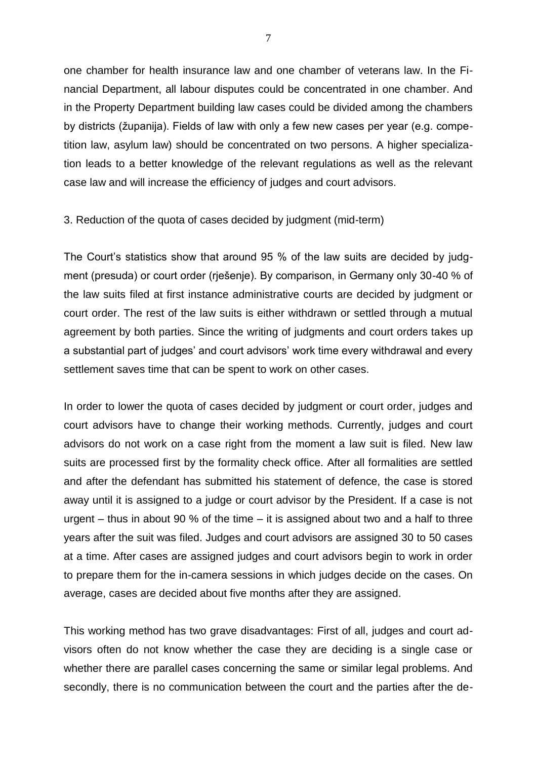one chamber for health insurance law and one chamber of veterans law. In the Financial Department, all labour disputes could be concentrated in one chamber. And in the Property Department building law cases could be divided among the chambers by districts (županija). Fields of law with only a few new cases per year (e.g. competition law, asylum law) should be concentrated on two persons. A higher specialization leads to a better knowledge of the relevant regulations as well as the relevant case law and will increase the efficiency of judges and court advisors.

## 3. Reduction of the quota of cases decided by judgment (mid-term)

The Court's statistics show that around 95 % of the law suits are decided by judgment (presuda) or court order (rješenje). By comparison, in Germany only 30-40 % of the law suits filed at first instance administrative courts are decided by judgment or court order. The rest of the law suits is either withdrawn or settled through a mutual agreement by both parties. Since the writing of judgments and court orders takes up a substantial part of judges' and court advisors' work time every withdrawal and every settlement saves time that can be spent to work on other cases.

In order to lower the quota of cases decided by judgment or court order, judges and court advisors have to change their working methods. Currently, judges and court advisors do not work on a case right from the moment a law suit is filed. New law suits are processed first by the formality check office. After all formalities are settled and after the defendant has submitted his statement of defence, the case is stored away until it is assigned to a judge or court advisor by the President. If a case is not urgent – thus in about 90 % of the time – it is assigned about two and a half to three years after the suit was filed. Judges and court advisors are assigned 30 to 50 cases at a time. After cases are assigned judges and court advisors begin to work in order to prepare them for the in-camera sessions in which judges decide on the cases. On average, cases are decided about five months after they are assigned.

This working method has two grave disadvantages: First of all, judges and court advisors often do not know whether the case they are deciding is a single case or whether there are parallel cases concerning the same or similar legal problems. And secondly, there is no communication between the court and the parties after the de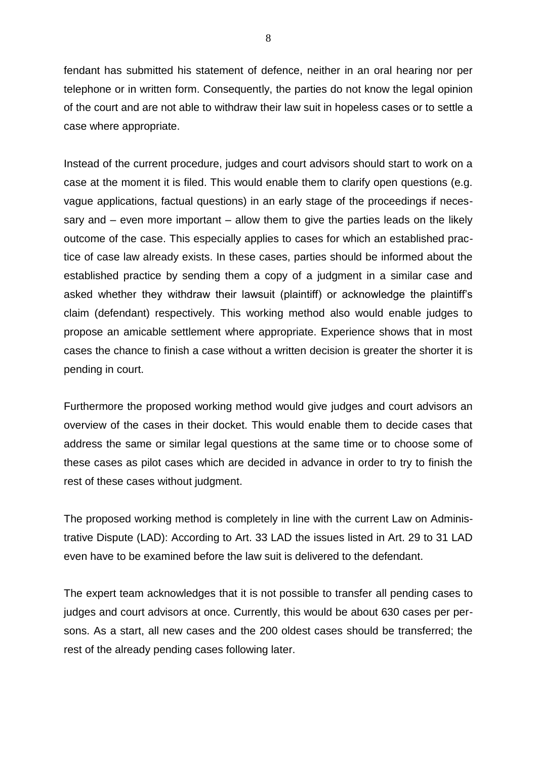fendant has submitted his statement of defence, neither in an oral hearing nor per telephone or in written form. Consequently, the parties do not know the legal opinion of the court and are not able to withdraw their law suit in hopeless cases or to settle a case where appropriate.

Instead of the current procedure, judges and court advisors should start to work on a case at the moment it is filed. This would enable them to clarify open questions (e.g. vague applications, factual questions) in an early stage of the proceedings if necessary and – even more important – allow them to give the parties leads on the likely outcome of the case. This especially applies to cases for which an established practice of case law already exists. In these cases, parties should be informed about the established practice by sending them a copy of a judgment in a similar case and asked whether they withdraw their lawsuit (plaintiff) or acknowledge the plaintiff's claim (defendant) respectively. This working method also would enable judges to propose an amicable settlement where appropriate. Experience shows that in most cases the chance to finish a case without a written decision is greater the shorter it is pending in court.

Furthermore the proposed working method would give judges and court advisors an overview of the cases in their docket. This would enable them to decide cases that address the same or similar legal questions at the same time or to choose some of these cases as pilot cases which are decided in advance in order to try to finish the rest of these cases without judgment.

The proposed working method is completely in line with the current Law on Administrative Dispute (LAD): According to Art. 33 LAD the issues listed in Art. 29 to 31 LAD even have to be examined before the law suit is delivered to the defendant.

The expert team acknowledges that it is not possible to transfer all pending cases to judges and court advisors at once. Currently, this would be about 630 cases per persons. As a start, all new cases and the 200 oldest cases should be transferred; the rest of the already pending cases following later.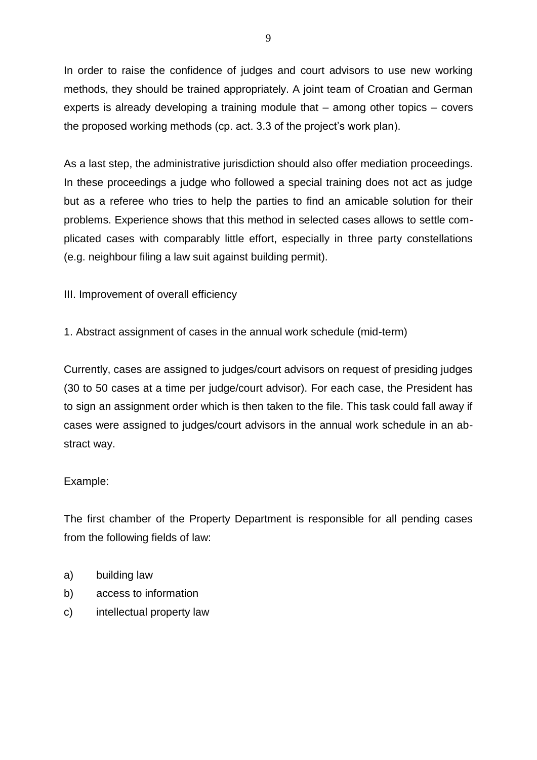In order to raise the confidence of judges and court advisors to use new working methods, they should be trained appropriately. A joint team of Croatian and German experts is already developing a training module that – among other topics – covers the proposed working methods (cp. act. 3.3 of the project's work plan).

As a last step, the administrative jurisdiction should also offer mediation proceedings. In these proceedings a judge who followed a special training does not act as judge but as a referee who tries to help the parties to find an amicable solution for their problems. Experience shows that this method in selected cases allows to settle complicated cases with comparably little effort, especially in three party constellations (e.g. neighbour filing a law suit against building permit).

III. Improvement of overall efficiency

1. Abstract assignment of cases in the annual work schedule (mid-term)

Currently, cases are assigned to judges/court advisors on request of presiding judges (30 to 50 cases at a time per judge/court advisor). For each case, the President has to sign an assignment order which is then taken to the file. This task could fall away if cases were assigned to judges/court advisors in the annual work schedule in an abstract way.

## Example:

The first chamber of the Property Department is responsible for all pending cases from the following fields of law:

- a) building law
- b) access to information
- c) intellectual property law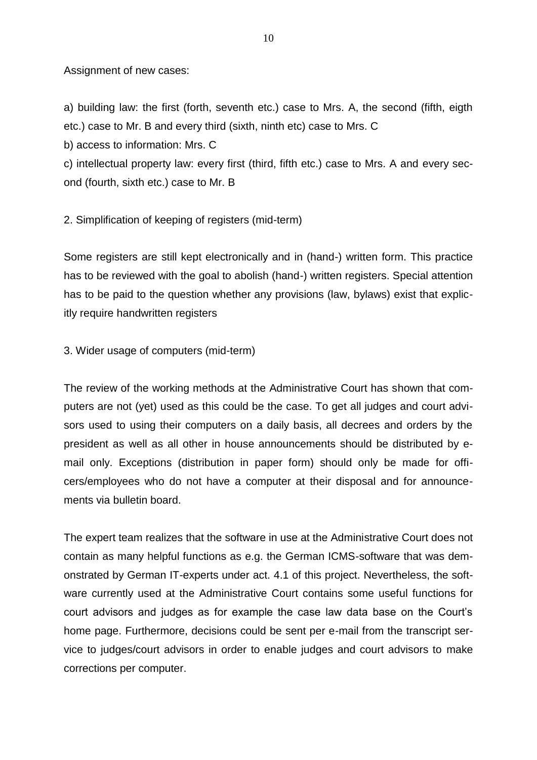Assignment of new cases:

a) building law: the first (forth, seventh etc.) case to Mrs. A, the second (fifth, eigth etc.) case to Mr. B and every third (sixth, ninth etc) case to Mrs. C

b) access to information: Mrs. C

c) intellectual property law: every first (third, fifth etc.) case to Mrs. A and every second (fourth, sixth etc.) case to Mr. B

2. Simplification of keeping of registers (mid-term)

Some registers are still kept electronically and in (hand-) written form. This practice has to be reviewed with the goal to abolish (hand-) written registers. Special attention has to be paid to the question whether any provisions (law, bylaws) exist that explicitly require handwritten registers

3. Wider usage of computers (mid-term)

The review of the working methods at the Administrative Court has shown that computers are not (yet) used as this could be the case. To get all judges and court advisors used to using their computers on a daily basis, all decrees and orders by the president as well as all other in house announcements should be distributed by email only. Exceptions (distribution in paper form) should only be made for officers/employees who do not have a computer at their disposal and for announcements via bulletin board.

The expert team realizes that the software in use at the Administrative Court does not contain as many helpful functions as e.g. the German ICMS-software that was demonstrated by German IT-experts under act. 4.1 of this project. Nevertheless, the software currently used at the Administrative Court contains some useful functions for court advisors and judges as for example the case law data base on the Court's home page. Furthermore, decisions could be sent per e-mail from the transcript service to judges/court advisors in order to enable judges and court advisors to make corrections per computer.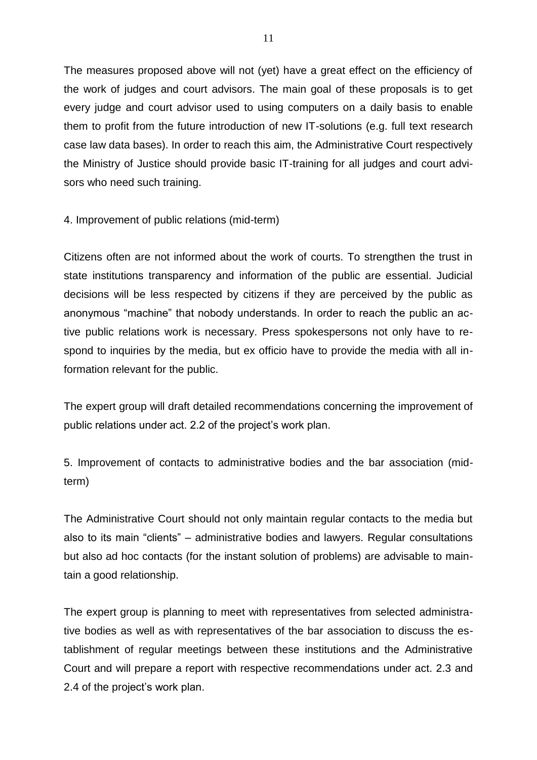The measures proposed above will not (yet) have a great effect on the efficiency of the work of judges and court advisors. The main goal of these proposals is to get every judge and court advisor used to using computers on a daily basis to enable them to profit from the future introduction of new IT-solutions (e.g. full text research case law data bases). In order to reach this aim, the Administrative Court respectively the Ministry of Justice should provide basic IT-training for all judges and court advisors who need such training.

4. Improvement of public relations (mid-term)

Citizens often are not informed about the work of courts. To strengthen the trust in state institutions transparency and information of the public are essential. Judicial decisions will be less respected by citizens if they are perceived by the public as anonymous "machine" that nobody understands. In order to reach the public an active public relations work is necessary. Press spokespersons not only have to respond to inquiries by the media, but ex officio have to provide the media with all information relevant for the public.

The expert group will draft detailed recommendations concerning the improvement of public relations under act. 2.2 of the project's work plan.

5. Improvement of contacts to administrative bodies and the bar association (midterm)

The Administrative Court should not only maintain regular contacts to the media but also to its main "clients" – administrative bodies and lawyers. Regular consultations but also ad hoc contacts (for the instant solution of problems) are advisable to maintain a good relationship.

The expert group is planning to meet with representatives from selected administrative bodies as well as with representatives of the bar association to discuss the establishment of regular meetings between these institutions and the Administrative Court and will prepare a report with respective recommendations under act. 2.3 and 2.4 of the project's work plan.